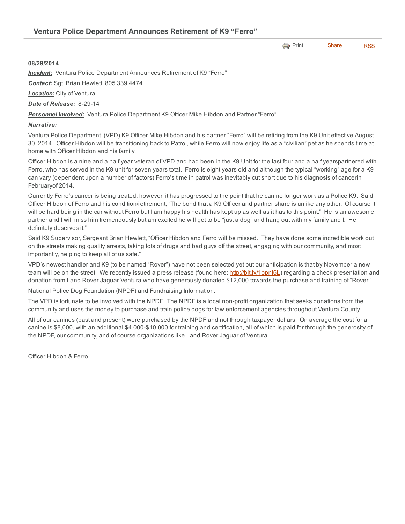**e** [Print](http://www.cityofventura.net/print/16050) | [Share](javascript:void(0)) | [RSS](http://www.cityofventura.net/feed/press_release/rss.xml)

## 08/29/2014

*Incident:* Ventura Police Department Announces Retirement of K9 "Ferro"

*Contact:* Sgt. Brian Hewlett, 805.339.4474

*Location:* City of Ventura

*Date of Release:* 8-29-14

*Personnel Involved:* Ventura Police Department K9 Officer Mike Hibdon and Partner "Ferro"

## *Narrative:*

Ventura Police Department (VPD) K9 Officer Mike Hibdon and his partner "Ferro" will be retiring from the K9 Unit effective August 30, 2014. Officer Hibdon will be transitioning back to Patrol, while Ferro will now enjoy life as a "civilian" pet as he spends time at home with Officer Hibdon and his family.

Officer Hibdon is a nine and a half year veteran of VPD and had been in the K9 Unit for the last four and a half yearspartnered with Ferro, who has served in the K9 unit for seven years total. Ferro is eight years old and although the typical "working" age for a K9 can vary (dependent upon a number of factors) Ferro's time in patrol was inevitably cut short due to his diagnosis of cancerin Februaryof 2014.

Currently Ferro's cancer is being treated, however, it has progressed to the point that he can no longer work as a Police K9. Said Officer Hibdon of Ferro and his condition/retirement, "The bond that a K9 Officer and partner share is unlike any other. Of course it will be hard being in the car without Ferro but I am happy his health has kept up as well as it has to this point." He is an awesome partner and I will miss him tremendously but am excited he will get to be "just a dog" and hang out with my family and I. He definitely deserves it."

Said K9 Supervisor, Sergeant Brian Hewlett, "Officer Hibdon and Ferro will be missed. They have done some incredible work out on the streets making quality arrests, taking lots of drugs and bad guys off the street, engaging with our community, and most importantly, helping to keep all of us safe."

VPD's newest handler and K9 (to be named "Rover") have not been selected yet but our anticipation is that by November a new team will be on the street. We recently issued a press release (found here: [http://bit.ly/1opnl6L\)](http://bit.ly/1opnl6L) regarding a check presentation and donation from Land Rover Jaguar Ventura who have generously donated \$12,000 towards the purchase and training of "Rover."

National Police Dog Foundation (NPDF) and Fundraising Information:

The VPD is fortunate to be involved with the NPDF. The NPDF is a local non-profit organization that seeks donations from the community and uses the money to purchase and train police dogs for law enforcement agencies throughout Ventura County.

All of our canines (past and present) were purchased by the NPDF and not through taxpayer dollars. On average the cost for a canine is \$8,000, with an additional \$4,000-\$10,000 for training and certification, all of which is paid for through the generosity of the NPDF, our community, and of course organizations like Land Rover Jaguar of Ventura.

Officer Hibdon & Ferro